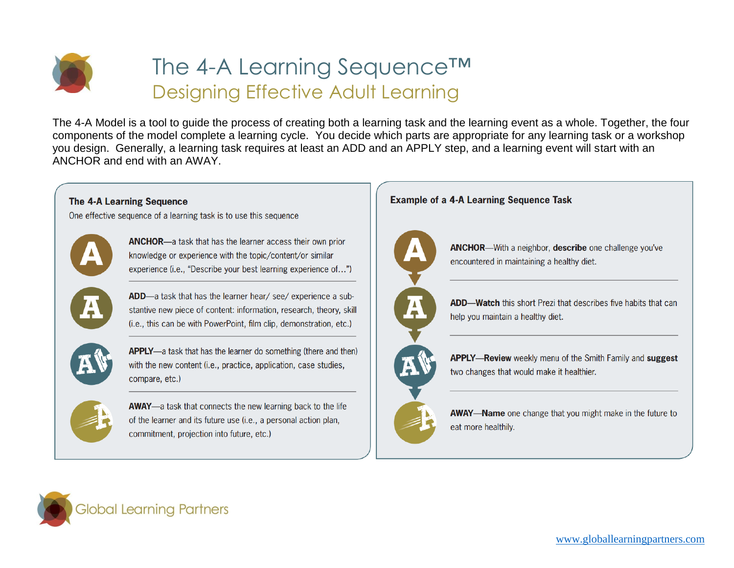

## The 4-A Learning Sequence™ Designing Effective Adult Learning

The 4-A Model is a tool to guide the process of creating both a learning task and the learning event as a whole. Together, the four components of the model complete a learning cycle. You decide which parts are appropriate for any learning task or a workshop you design. Generally, a learning task requires at least an ADD and an APPLY step, and a learning event will start with an ANCHOR and end with an AWAY.





commitment, projection into future, etc.)